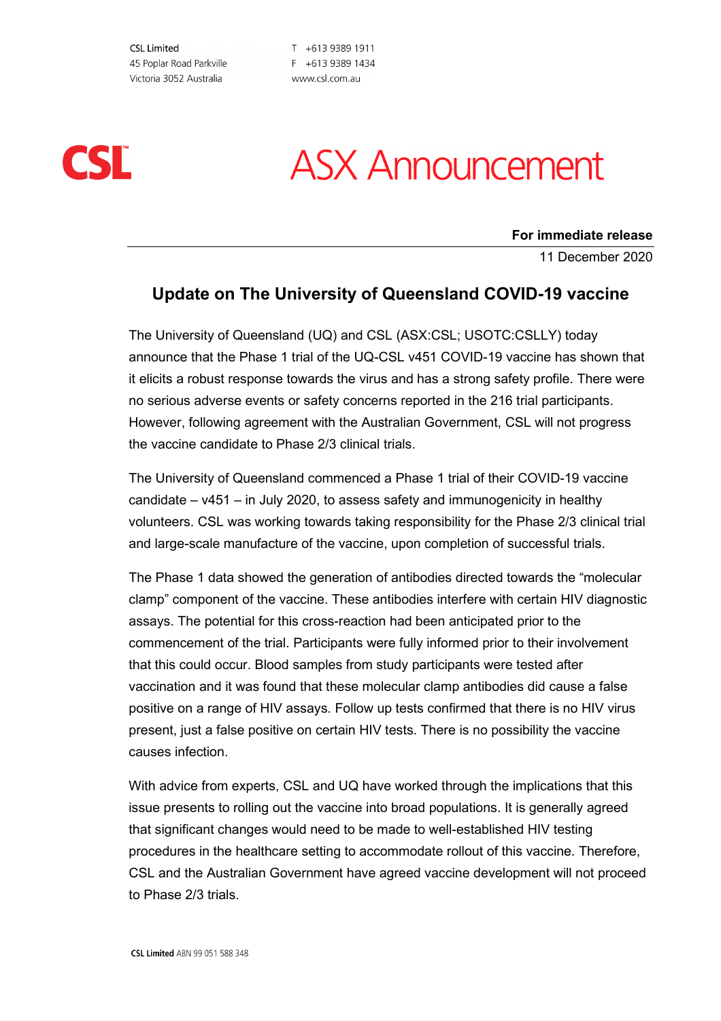**CSL Limited** 45 Poplar Road Parkville Victoria 3052 Australia

T +613 9389 1911 F +613 9389 1434 www.csl.com.au



# **ASX Announcement**

#### **For immediate release**

11 December 2020

### **Update on The University of Queensland COVID-19 vaccine**

The University of Queensland (UQ) and CSL (ASX:CSL; USOTC:CSLLY) today announce that the Phase 1 trial of the UQ-CSL v451 COVID-19 vaccine has shown that it elicits a robust response towards the virus and has a strong safety profile. There were no serious adverse events or safety concerns reported in the 216 trial participants. However, following agreement with the Australian Government, CSL will not progress the vaccine candidate to Phase 2/3 clinical trials.

The University of Queensland commenced a Phase 1 trial of their COVID-19 vaccine candidate – v451 – in July 2020, to assess safety and immunogenicity in healthy volunteers. CSL was working towards taking responsibility for the Phase 2/3 clinical trial and large-scale manufacture of the vaccine, upon completion of successful trials.

The Phase 1 data showed the generation of antibodies directed towards the "molecular clamp" component of the vaccine. These antibodies interfere with certain HIV diagnostic assays. The potential for this cross-reaction had been anticipated prior to the commencement of the trial. Participants were fully informed prior to their involvement that this could occur. Blood samples from study participants were tested after vaccination and it was found that these molecular clamp antibodies did cause a false positive on a range of HIV assays. Follow up tests confirmed that there is no HIV virus present, just a false positive on certain HIV tests. There is no possibility the vaccine causes infection.

With advice from experts, CSL and UQ have worked through the implications that this issue presents to rolling out the vaccine into broad populations. It is generally agreed that significant changes would need to be made to well-established HIV testing procedures in the healthcare setting to accommodate rollout of this vaccine. Therefore, CSL and the Australian Government have agreed vaccine development will not proceed to Phase 2/3 trials.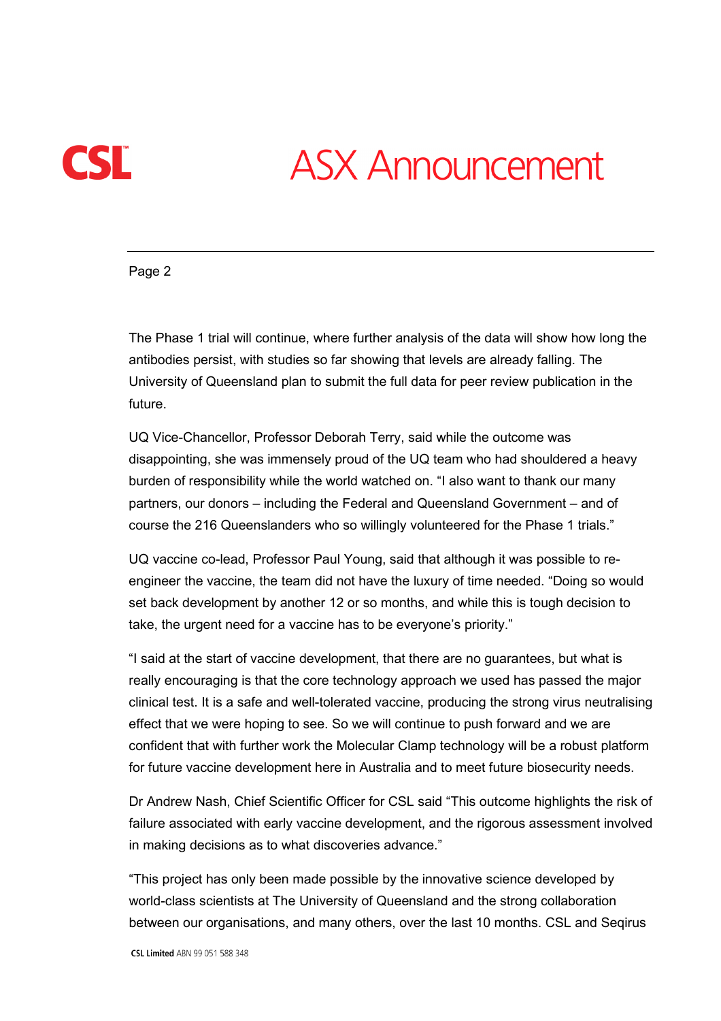

## **ASX Announcement**

Page 2

The Phase 1 trial will continue, where further analysis of the data will show how long the antibodies persist, with studies so far showing that levels are already falling. The University of Queensland plan to submit the full data for peer review publication in the future.

UQ Vice-Chancellor, Professor Deborah Terry, said while the outcome was disappointing, she was immensely proud of the UQ team who had shouldered a heavy burden of responsibility while the world watched on. "I also want to thank our many partners, our donors – including the Federal and Queensland Government – and of course the 216 Queenslanders who so willingly volunteered for the Phase 1 trials."

UQ vaccine co-lead, Professor Paul Young, said that although it was possible to reengineer the vaccine, the team did not have the luxury of time needed. "Doing so would set back development by another 12 or so months, and while this is tough decision to take, the urgent need for a vaccine has to be everyone's priority."

"I said at the start of vaccine development, that there are no guarantees, but what is really encouraging is that the core technology approach we used has passed the major clinical test. It is a safe and well-tolerated vaccine, producing the strong virus neutralising effect that we were hoping to see. So we will continue to push forward and we are confident that with further work the Molecular Clamp technology will be a robust platform for future vaccine development here in Australia and to meet future biosecurity needs.

Dr Andrew Nash, Chief Scientific Officer for CSL said "This outcome highlights the risk of failure associated with early vaccine development, and the rigorous assessment involved in making decisions as to what discoveries advance."

"This project has only been made possible by the innovative science developed by world-class scientists at The University of Queensland and the strong collaboration between our organisations, and many others, over the last 10 months. CSL and Seqirus